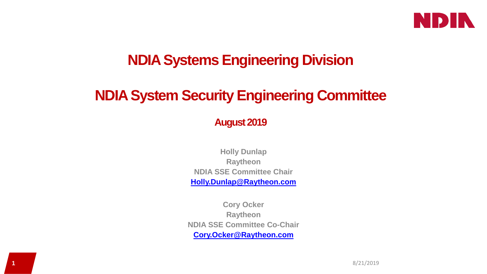

# **NDIA Systems Engineering Division**

# **NDIA System Security Engineering Committee**

## **August 2019**

**Holly Dunlap Raytheon NDIA SSE Committee Chair [Holly.Dunlap@Raytheon.com](mailto:Holly.Dunlap@Raytheon.com)**

**Cory Ocker Raytheon NDIA SSE Committee Co-Chair [Cory.Ocker@Raytheon.com](mailto:Cory.Ocker@Raytheon.com)**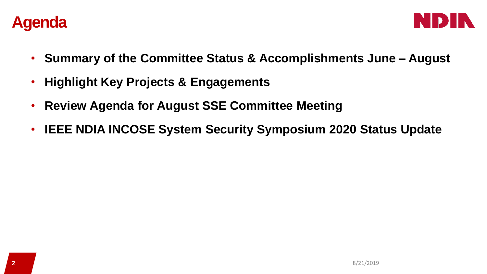



- **Summary of the Committee Status & Accomplishments June – August**
- **Highlight Key Projects & Engagements**
- **Review Agenda for August SSE Committee Meeting**
- **IEEE NDIA INCOSE System Security Symposium 2020 Status Update**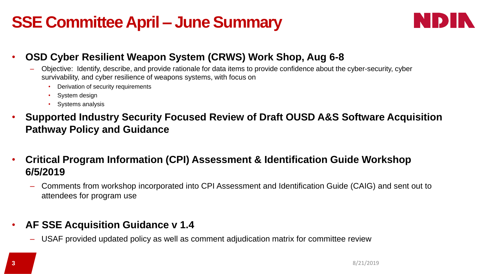# **SSE Committee April – June Summary**



## • **OSD Cyber Resilient Weapon System (CRWS) Work Shop, Aug 6-8**

- Objective: Identify, describe, and provide rationale for data items to provide confidence about the cyber-security, cyber survivability, and cyber resilience of weapons systems, with focus on
	- Derivation of security requirements
	- System design
	- Systems analysis
- **Supported Industry Security Focused Review of Draft OUSD A&S Software Acquisition Pathway Policy and Guidance**
- **Critical Program Information (CPI) Assessment & Identification Guide Workshop 6/5/2019**
	- Comments from workshop incorporated into CPI Assessment and Identification Guide (CAIG) and sent out to attendees for program use

## • **AF SSE Acquisition Guidance v 1.4**

– USAF provided updated policy as well as comment adjudication matrix for committee review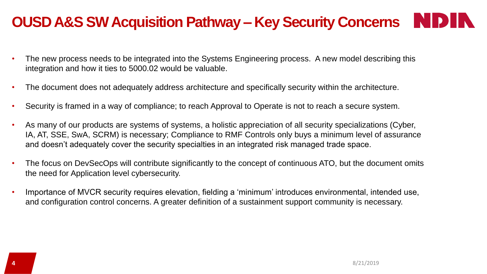# **OUSD A&S SW Acquisition Pathway – Key Security Concerns**

- The new process needs to be integrated into the Systems Engineering process. A new model describing this integration and how it ties to 5000.02 would be valuable.
- The document does not adequately address architecture and specifically security within the architecture.
- Security is framed in a way of compliance; to reach Approval to Operate is not to reach a secure system.
- As many of our products are systems of systems, a holistic appreciation of all security specializations (Cyber, IA, AT, SSE, SwA, SCRM) is necessary; Compliance to RMF Controls only buys a minimum level of assurance and doesn't adequately cover the security specialties in an integrated risk managed trade space.
- The focus on DevSecOps will contribute significantly to the concept of continuous ATO, but the document omits the need for Application level cybersecurity.
- Importance of MVCR security requires elevation, fielding a 'minimum' introduces environmental, intended use, and configuration control concerns. A greater definition of a sustainment support community is necessary.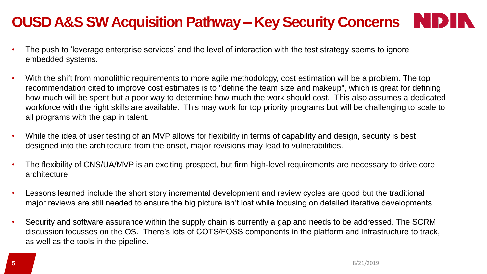# **OUSD A&S SW Acquisition Pathway – Key Security Concerns**

- The push to 'leverage enterprise services' and the level of interaction with the test strategy seems to ignore embedded systems.
- With the shift from monolithic requirements to more agile methodology, cost estimation will be a problem. The top recommendation cited to improve cost estimates is to "define the team size and makeup", which is great for defining how much will be spent but a poor way to determine how much the work should cost. This also assumes a dedicated workforce with the right skills are available. This may work for top priority programs but will be challenging to scale to all programs with the gap in talent.
- While the idea of user testing of an MVP allows for flexibility in terms of capability and design, security is best designed into the architecture from the onset, major revisions may lead to vulnerabilities.
- The flexibility of CNS/UA/MVP is an exciting prospect, but firm high-level requirements are necessary to drive core architecture.
- Lessons learned include the short story incremental development and review cycles are good but the traditional major reviews are still needed to ensure the big picture isn't lost while focusing on detailed iterative developments.
- Security and software assurance within the supply chain is currently a gap and needs to be addressed. The SCRM discussion focusses on the OS. There's lots of COTS/FOSS components in the platform and infrastructure to track, as well as the tools in the pipeline.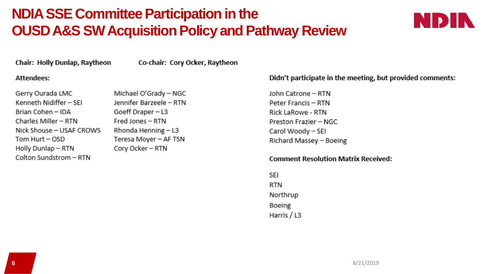# **NDIA SSE Committee Participation in the OUSD A&S SW Acquisition Policy and Pathway Review**



Chair: Holly Dunlap, Raytheon

Co-chair: Cory Ocker, Raytheon

#### **Attendees:**

| Gerry Ourada LMC         |
|--------------------------|
| Kenneth Nidiffer – SEI   |
| Brian Cohen - IDA        |
| Charles Miller - RTN     |
| Nick Shouse - USAF CROWS |
| Tom Hurt – OSD           |
| Holly Dunlap - RTN       |
| Colton Sundstrom - RTN   |

Michael O'Grady - NGC Jennifer Barzeele - RTN Goeff Draper - L3 Fred Jones - RTN Rhonda Henning - L3 Teresa Moyer - AF TSN Cory Ocker - RTN

#### Didn't participate in the meeting, but provided comments:

John Catrone - RTN Peter Francis - RTN Rick LaRowe - RTN Preston Frazier - NGC Carol Woody - SEI Richard Massey - Boeing

#### **Comment Resolution Matrix Received:**

SEI **RTN** Northrup Boeing Harris / L3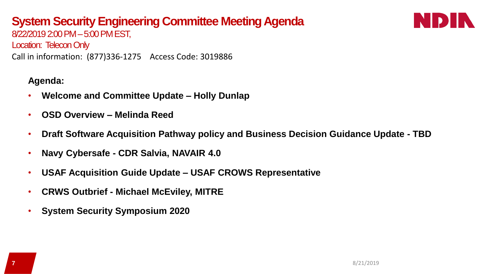# **System Security Engineering Committee Meeting Agenda**



8/22/2019 2:00 PM –5:00 PM EST, Location: Telecon Only Call in information: (877)336-1275 Access Code: 3019886

### **Agenda:**

- **Welcome and Committee Update – Holly Dunlap**
- **OSD Overview – Melinda Reed**
- **Draft Software Acquisition Pathway policy and Business Decision Guidance Update - TBD**
- **Navy Cybersafe - CDR Salvia, NAVAIR 4.0**
- **USAF Acquisition Guide Update – USAF CROWS Representative**
- **CRWS Outbrief - Michael McEviley, MITRE**
- **System Security Symposium 2020**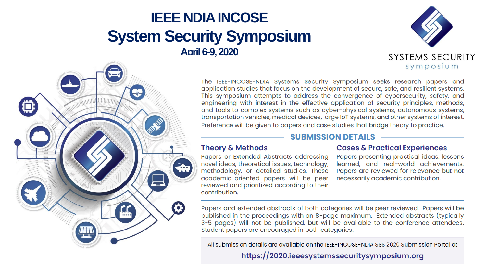# **IEEE NDIA INCOSE System Security Symposium April 6-9, 2020**





The IEEE-INCOSE-NDIA Systems Security Symposium seeks research papers and application studies that focus on the development of secure, safe, and resilient systems. This symposium attempts to address the convergence of cybersecurity, safety, and engineering with interest in the effective application of security principles, methods, and tools to complex systems such as cyber-physical systems, autonomous systems, transportation vehicles, medical devices, large IoT systems, and other systems of interest. Preference will be given to papers and case studies that bridge theory to practice.

#### **SUBMISSION DETAILS**

#### **Theory & Methods**

Papers or Extended Abstracts addressing novel ideas, theoretical issues, technology, methodology, or detailed studies. These academic-oriented papers will be peer reviewed and prioritized according to their contribution.

#### **Cases & Practical Experiences**

Papers presenting practical ideas, lessons learned, and real-world achievements. Papers are reviewed for relevance but not necessarily academic contribution.

Papers and extended abstracts of both categories will be peer reviewed. Papers will be published in the proceedings with an 8-page maximum. Extended abstracts (typically 3-5 pages) will not be published, but will be available to the conference attendees. Student papers are encouraged in both categories.

All submission details are available on the IEEE-INCOSE-NDIA SSS 2020 Submission Portal at

https://2020.ieeesystemssecuritysymposium.org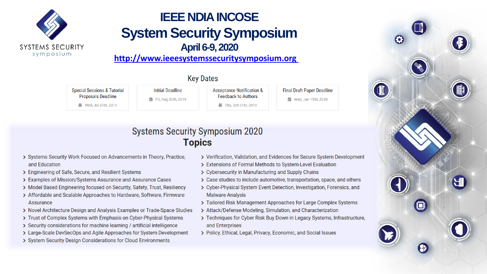

# **IEEE NDIA INCOSE System Security Symposium April 6-9, 2020**

http://www.ieeesystemssecuritysymposium.org

### **Key Dates**

**Special Sessions & Tutorial** 

**Proposals Deadline** 

前 Wed, Jul 31st, 2019

**菌 Fri, Aug 30th, 2019** 

**Initial Deadline** 

**Acceptance Notification & Feedback to Authors** 

前 Thu. Oct 31st. 2019

**Final Draft Paper Deadline 益** Wed, Jan 15th, 2020

## **Systems Security Symposium 2020 Topics**

- > Systems Security Work Focused on Advancements in Theory, Practice, and Education
- > Engineering of Safe, Secure, and Resilient Systems
- > Examples of Mission/Systems Assurance and Assurance Cases
- > Model Based Engineering focused on Security, Safety, Trust, Resiliency
- > Affordable and Scalable Approaches to Hardware, Software, Firmware Assurance
- > Novel Architecture Design and Analysis Examples or Trade-Space Studies
- > Trust of Complex Systems with Emphasis on Cyber-Physical Systems
- > Security considerations for machine learning / artificial intelligence
- > Large-Scale DevSecOps and Agile Approaches for System Development
- > System Security Design Considerations for Cloud Environments
- > Verification, Validation, and Evidences for Secure System Development
- > Extensions of Formal Methods to System-Level Evaluation
- > Cybersecurity in Manufacturing and Supply Chains
- > Case studies to include automotive, transportation, space, and others
- > Cyber-Physical System Event Detection, Investigation, Forensics, and **Malware Analysis**
- > Tailored Risk Management Approaches for Large Complex Systems
- > Attack/Defense Modeling, Simulation, and Characterization
- > Techniques for Cyber Risk Buy Down in Legacy Systems, Infrastructure, and Enterprises
- > Policy, Ethical, Legal, Privacy, Economic, and Social Issues